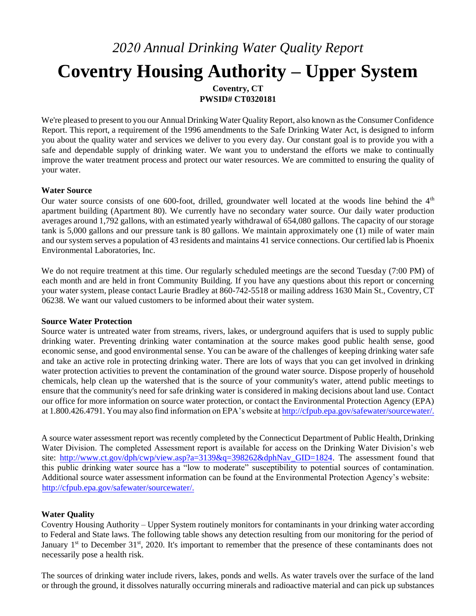# *2020 Annual Drinking Water Quality Report*  **Coventry Housing Authority – Upper System Coventry, CT**

**PWSID# CT0320181** 

We're pleased to present to you our Annual Drinking Water Quality Report, also known as the Consumer Confidence Report. This report, a requirement of the 1996 amendments to the Safe Drinking Water Act, is designed to inform you about the quality water and services we deliver to you every day. Our constant goal is to provide you with a safe and dependable supply of drinking water. We want you to understand the efforts we make to continually improve the water treatment process and protect our water resources. We are committed to ensuring the quality of your water.

## **Water Source**

Our water source consists of one 600-foot, drilled, groundwater well located at the woods line behind the 4<sup>th</sup> apartment building (Apartment 80). We currently have no secondary water source. Our daily water production averages around 1,792 gallons, with an estimated yearly withdrawal of 654,080 gallons. The capacity of our storage tank is 5,000 gallons and our pressure tank is 80 gallons. We maintain approximately one (1) mile of water main and our system serves a population of 43 residents and maintains 41 service connections. Our certified lab is Phoenix Environmental Laboratories, Inc.

We do not require treatment at this time. Our regularly scheduled meetings are the second Tuesday (7:00 PM) of each month and are held in front Community Building. If you have any questions about this report or concerning your water system, please contact Laurie Bradley at 860-742-5518 or mailing address 1630 Main St., Coventry, CT 06238. We want our valued customers to be informed about their water system.

## **Source Water Protection**

Source water is untreated water from streams, rivers, lakes, or underground aquifers that is used to supply public drinking water. Preventing drinking water contamination at the source makes good public health sense, good economic sense, and good environmental sense. You can be aware of the challenges of keeping drinking water safe and take an active role in protecting drinking water. There are lots of ways that you can get involved in drinking water protection activities to prevent the contamination of the ground water source. Dispose properly of household chemicals, help clean up the watershed that is the source of your community's water, attend public meetings to ensure that the community's need for safe drinking water is considered in making decisions about land use. Contact our office for more information on source water protection, or contact the Environmental Protection Agency (EPA) at 1.800.426.4791. You may also find information on EPA's website at [http://cfpub.epa.gov/safewater/sourcewater/.](http://cfpub.epa.gov/safewater/sourcewater/)

A source water assessment report was recently completed by the Connecticut Department of Public Health, Drinking Water Division. The completed Assessment report is available for access on the Drinking Water Division's web site: [http://www.ct.gov/dph/cwp/view.asp?a=3139&q=398262&dphNav\\_GID=1824.](http://www.ct.gov/dph/cwp/view.asp?a=3139&q=398262&dphNav_GID=1824) [T](http://www.ct.gov/dph/cwp/view.asp?a=3139&q=398262&dphNav_GID=1824)he assessment found that this public drinking water source has a "low to moderate" susceptibility to potential sources of contamination. Additional source water assessment information can be found at the Environmental Protection Agency's website: [http://cfpub.epa.gov/safewater/sourcewater/.](http://cfpub.epa.gov/safewater/sourcewater/)

# **Water Quality**

Coventry Housing Authority – Upper System routinely monitors for contaminants in your drinking water according to Federal and State laws. The following table shows any detection resulting from our monitoring for the period of January 1<sup>st</sup> to December 31<sup>st</sup>, 2020. It's important to remember that the presence of these contaminants does not necessarily pose a health risk.

The sources of drinking water include rivers, lakes, ponds and wells. As water travels over the surface of the land or through the ground, it dissolves naturally occurring minerals and radioactive material and can pick up substances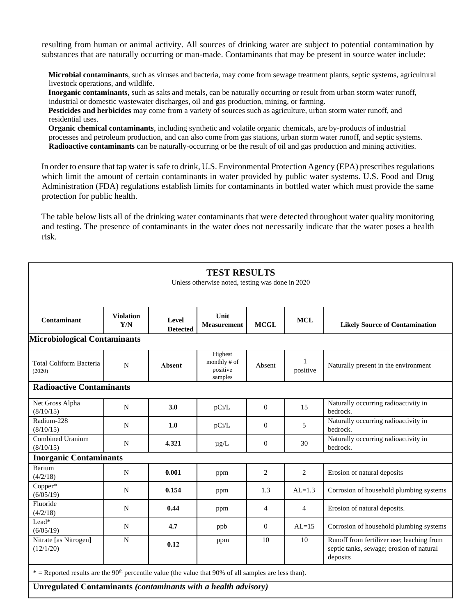resulting from human or animal activity. All sources of drinking water are subject to potential contamination by substances that are naturally occurring or man-made. Contaminants that may be present in source water include:

**Microbial contaminants**, such as viruses and bacteria, may come from sewage treatment plants, septic systems, agricultural livestock operations, and wildlife.

**Inorganic contaminants**, such as salts and metals, can be naturally occurring or result from urban storm water runoff, industrial or domestic wastewater discharges, oil and gas production, mining, or farming.

**Pesticides and herbicides** may come from a variety of sources such as agriculture, urban storm water runoff, and residential uses.

**Organic chemical contaminants**, including synthetic and volatile organic chemicals, are by-products of industrial processes and petroleum production, and can also come from gas stations, urban storm water runoff, and septic systems. **Radioactive contaminants** can be naturally-occurring or be the result of oil and gas production and mining activities.

In order to ensure that tap water is safe to drink, U.S. Environmental Protection Agency (EPA) prescribes regulations which limit the amount of certain contaminants in water provided by public water systems. U.S. Food and Drug Administration (FDA) regulations establish limits for contaminants in bottled water which must provide the same protection for public health.

The table below lists all of the drinking water contaminants that were detected throughout water quality monitoring and testing. The presence of contaminants in the water does not necessarily indicate that the water poses a health risk.

| <b>TEST RESULTS</b><br>Unless otherwise noted, testing was done in 2020                                                                                                                                                                                                                                                                                                                                                                                                                                                                                                                                                                    |                         |                          |                                                |                  |                |                                                                                                   |  |  |  |
|--------------------------------------------------------------------------------------------------------------------------------------------------------------------------------------------------------------------------------------------------------------------------------------------------------------------------------------------------------------------------------------------------------------------------------------------------------------------------------------------------------------------------------------------------------------------------------------------------------------------------------------------|-------------------------|--------------------------|------------------------------------------------|------------------|----------------|---------------------------------------------------------------------------------------------------|--|--|--|
|                                                                                                                                                                                                                                                                                                                                                                                                                                                                                                                                                                                                                                            |                         |                          |                                                |                  |                |                                                                                                   |  |  |  |
| Contaminant                                                                                                                                                                                                                                                                                                                                                                                                                                                                                                                                                                                                                                | <b>Violation</b><br>Y/N | Level<br><b>Detected</b> | Unit<br><b>Measurement</b>                     | <b>MCGL</b>      | <b>MCL</b>     | <b>Likely Source of Contamination</b>                                                             |  |  |  |
| <b>Microbiological Contaminants</b>                                                                                                                                                                                                                                                                                                                                                                                                                                                                                                                                                                                                        |                         |                          |                                                |                  |                |                                                                                                   |  |  |  |
| Total Coliform Bacteria<br>(2020)                                                                                                                                                                                                                                                                                                                                                                                                                                                                                                                                                                                                          | $\mathbf N$             | <b>Absent</b>            | Highest<br>monthly # of<br>positive<br>samples | Absent           | 1<br>positive  | Naturally present in the environment                                                              |  |  |  |
| <b>Radioactive Contaminants</b>                                                                                                                                                                                                                                                                                                                                                                                                                                                                                                                                                                                                            |                         |                          |                                                |                  |                |                                                                                                   |  |  |  |
| Net Gross Alpha<br>(8/10/15)                                                                                                                                                                                                                                                                                                                                                                                                                                                                                                                                                                                                               | N                       | 3.0                      | pCi/L                                          | $\theta$         | 15             | Naturally occurring radioactivity in<br>bedrock.                                                  |  |  |  |
| Radium-228<br>(8/10/15)                                                                                                                                                                                                                                                                                                                                                                                                                                                                                                                                                                                                                    | $\mathbf N$             | 1.0                      | pCi/L                                          | $\boldsymbol{0}$ | 5              | Naturally occurring radioactivity in<br>bedrock.                                                  |  |  |  |
| Combined Uranium<br>(8/10/15)                                                                                                                                                                                                                                                                                                                                                                                                                                                                                                                                                                                                              | ${\bf N}$               | 4.321                    | $\mu$ g/L                                      | $\boldsymbol{0}$ | 30             | Naturally occurring radioactivity in<br>bedrock.                                                  |  |  |  |
| <b>Inorganic Contaminants</b>                                                                                                                                                                                                                                                                                                                                                                                                                                                                                                                                                                                                              |                         |                          |                                                |                  |                |                                                                                                   |  |  |  |
| <b>Barium</b><br>(4/2/18)                                                                                                                                                                                                                                                                                                                                                                                                                                                                                                                                                                                                                  | N                       | 0.001                    | ppm                                            | 2                | 2              | Erosion of natural deposits                                                                       |  |  |  |
| Copper*<br>(6/05/19)                                                                                                                                                                                                                                                                                                                                                                                                                                                                                                                                                                                                                       | N                       | 0.154                    | ppm                                            | 1.3              | $AL=1.3$       | Corrosion of household plumbing systems                                                           |  |  |  |
| Fluoride<br>(4/2/18)                                                                                                                                                                                                                                                                                                                                                                                                                                                                                                                                                                                                                       | N                       | 0.44                     | ppm                                            | $\overline{4}$   | $\overline{4}$ | Erosion of natural deposits.                                                                      |  |  |  |
| Lead*<br>(6/05/19)                                                                                                                                                                                                                                                                                                                                                                                                                                                                                                                                                                                                                         | N                       | 4.7                      | ppb                                            | $\overline{0}$   | $AL=15$        | Corrosion of household plumbing systems                                                           |  |  |  |
| Nitrate [as Nitrogen]<br>(12/1/20)                                                                                                                                                                                                                                                                                                                                                                                                                                                                                                                                                                                                         | $\mathbf N$             | 0.12                     | ppm                                            | 10               | 10             | Runoff from fertilizer use; leaching from<br>septic tanks, sewage; erosion of natural<br>deposits |  |  |  |
| $*$ = Reported results are the 90 <sup>th</sup> percentile value (the value that 90% of all samples are less than).<br>$\mathbf{r}$ $\mathbf{r}$ $\mathbf{r}$ $\mathbf{r}$ $\mathbf{r}$ $\mathbf{r}$ $\mathbf{r}$ $\mathbf{r}$ $\mathbf{r}$ $\mathbf{r}$ $\mathbf{r}$ $\mathbf{r}$ $\mathbf{r}$ $\mathbf{r}$ $\mathbf{r}$ $\mathbf{r}$ $\mathbf{r}$ $\mathbf{r}$ $\mathbf{r}$ $\mathbf{r}$ $\mathbf{r}$ $\mathbf{r}$ $\mathbf{r}$ $\mathbf{r}$ $\mathbf{$<br>$\mathbf{r}$ . $\mathbf{r}$<br>$\mathbf{v}$ $\mathbf{v}$ $\mathbf{v}$ $\mathbf{v}$ $\mathbf{v}$ $\mathbf{v}$ $\mathbf{v}$ $\mathbf{v}$ $\mathbf{v}$ $\mathbf{v}$ $\mathbf{v}$ |                         |                          |                                                |                  |                |                                                                                                   |  |  |  |

**Unregulated Contaminants** *(contaminants with a health advisory)*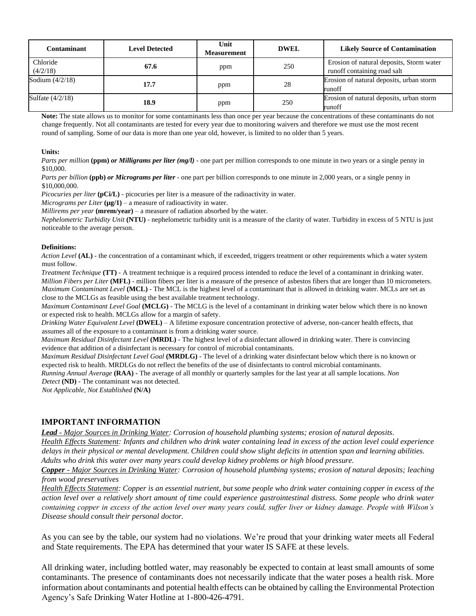| Contaminant                           | <b>Level Detected</b> | Unit<br><b>Measurement</b> | <b>DWEL</b> | <b>Likely Source of Contamination</b>                                   |
|---------------------------------------|-----------------------|----------------------------|-------------|-------------------------------------------------------------------------|
| Chloride<br>(4/2/18)                  | 67.6                  | ppm                        | 250         | Erosion of natural deposits, Storm water<br>runoff containing road salt |
| Sodium $\left(\frac{4}{2}\right)$ 18) | 17.7                  | ppm                        | 28          | Erosion of natural deposits, urban storm<br>runoff                      |
| Sulfate $(4/2/18)$                    | 18.9                  | ppm                        | 250         | Erosion of natural deposits, urban storm<br>runoff                      |

**Note:** The state allows us to monitor for some contaminants less than once per year because the concentrations of these contaminants do not change frequently. Not all contaminants are tested for every year due to monitoring waivers and therefore we must use the most recent round of sampling. Some of our data is more than one year old, however, is limited to no older than 5 years.

#### **Units:**

*Parts per million* (ppm) *or Milligrams per liter (mg/l)* - one part per million corresponds to one minute in two years or a single penny in \$10,000.

*Parts per billion* **(ppb)** *or Micrograms per liter* - one part per billion corresponds to one minute in 2,000 years, or a single penny in \$10,000,000.

*Picocuries per liter* (**pCi/L**) - picocuries per liter is a measure of the radioactivity in water.

*Micrograms per Liter*  $(\mu \mathbf{g}/1)$  – a measure of radioactivity in water.

*Millirems per year* (**mrem/year**) – a measure of radiation absorbed by the water.

*Nephelometric Turbidity Unit* **(NTU)** - nephelometric turbidity unit is a measure of the clarity of water. Turbidity in excess of 5 NTU is just noticeable to the average person.

#### **Definitions:**

*Action Level* **(AL)** - the concentration of a contaminant which, if exceeded, triggers treatment or other requirements which a water system must follow.

*Treatment Technique* **(TT)** - A treatment technique is a required process intended to reduce the level of a contaminant in drinking water. *Million Fibers per Liter* **(MFL)** - million fibers per liter is a measure of the presence of asbestos fibers that are longer than 10 micrometers. *Maximum Contaminant Level* **(MCL)** - The MCL is the highest level of a contaminant that is allowed in drinking water. MCLs are set as close to the MCLGs as feasible using the best available treatment technology.

*Maximum Contaminant Level Goal* **(MCLG)** - The MCLG is the level of a contaminant in drinking water below which there is no known or expected risk to health. MCLGs allow for a margin of safety.

*Drinking Water Equivalent Level* **(DWEL)** *–* A lifetime exposure concentration protective of adverse, non-cancer health effects, that assumes all of the exposure to a contaminant is from a drinking water source.

*Maximum Residual Disinfectant Level* **(MRDL)** - The highest level of a disinfectant allowed in drinking water. There is convincing evidence that addition of a disinfectant is necessary for control of microbial contaminants.

*Maximum Residual Disinfectant Level Goal* **(MRDLG)** - The level of a drinking water disinfectant below which there is no known or expected risk to health. MRDLGs do not reflect the benefits of the use of disinfectants to control microbial contaminants.

*Running Annual Average* **(RAA) -** The average of all monthly or quarterly samples for the last year at all sample locations. *Non Detect* **(ND)** - The contaminant was not detected.

*Not Applicable, Not Established* **(N/A)** 

### **IMPORTANT INFORMATION**

*Lead - Major Sources in Drinking Water: Corrosion of household plumbing systems; erosion of natural deposits.* 

*Health Effects Statement: Infants and children who drink water containing lead in excess of the action level could experience delays in their physical or mental development. Children could show slight deficits in attention span and learning abilities. Adults who drink this water over many years could develop kidney problems or high blood pressure.* 

*Copper - Major Sources in Drinking Water: Corrosion of household plumbing systems; erosion of natural deposits; leaching from wood preservatives* 

*Health Effects Statement: Copper is an essential nutrient, but some people who drink water containing copper in excess of the action level over a relatively short amount of time could experience gastrointestinal distress. Some people who drink water containing copper in excess of the action level over many years could, suffer liver or kidney damage. People with Wilson's Disease should consult their personal doctor.* 

As you can see by the table, our system had no violations. We're proud that your drinking water meets all Federal and State requirements. The EPA has determined that your water IS SAFE at these levels.

All drinking water, including bottled water, may reasonably be expected to contain at least small amounts of some contaminants. The presence of contaminants does not necessarily indicate that the water poses a health risk. More information about contaminants and potential health effects can be obtained by calling the Environmental Protection Agency's Safe Drinking Water Hotline at 1-800-426-4791.